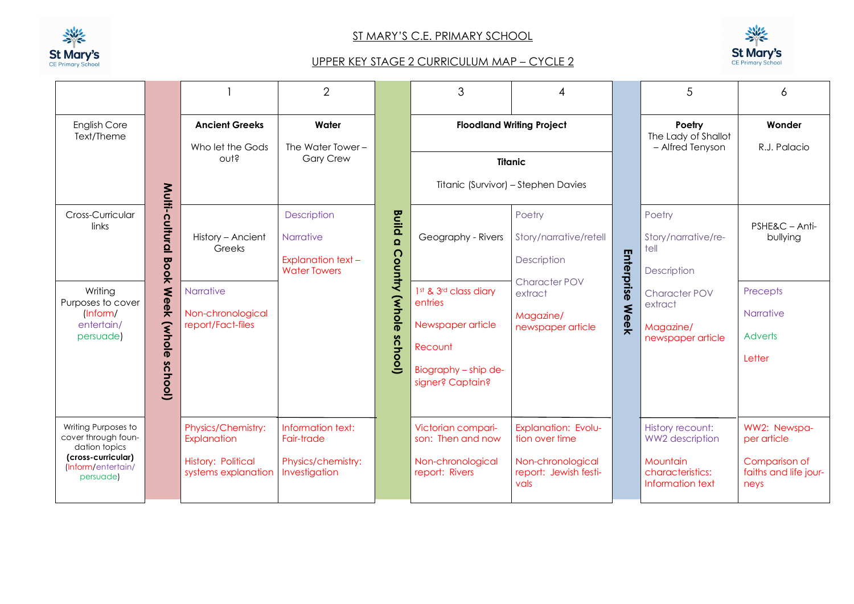

 $\blacksquare$ 

## ST MARY'S C.E. PRIMARY SCHOOL



## UPPER KEY STAGE 2 CURRICULUM MAP – CYCLE 2

|                                                                                                                      |                                  |                                                                                       | $\overline{2}$                                                                      |                                                                                                              | 3                                                                              |                                                                                             |                                                            | 5                                                                                              | 6                                                                             |
|----------------------------------------------------------------------------------------------------------------------|----------------------------------|---------------------------------------------------------------------------------------|-------------------------------------------------------------------------------------|--------------------------------------------------------------------------------------------------------------|--------------------------------------------------------------------------------|---------------------------------------------------------------------------------------------|------------------------------------------------------------|------------------------------------------------------------------------------------------------|-------------------------------------------------------------------------------|
| English Core<br>Text/Theme                                                                                           |                                  | <b>Ancient Greeks</b><br>Who let the Gods<br>out?                                     | Water<br>The Water Tower -<br><b>Gary Crew</b>                                      |                                                                                                              |                                                                                | <b>Floodland Writing Project</b><br><b>Titanic</b>                                          |                                                            | Poetry<br>The Lady of Shallot<br>- Alfred Tenyson                                              | Wonder<br>R.J. Palacio                                                        |
|                                                                                                                      |                                  |                                                                                       |                                                                                     |                                                                                                              | Titanic (Survivor) - Stephen Davies                                            |                                                                                             |                                                            |                                                                                                |                                                                               |
| Cross-Curricular<br>links                                                                                            | Multi-cultural<br>Book           | History - Ancient<br>Greeks                                                           | Description<br><b>Narrative</b><br><b>Explanation text -</b><br><b>Water Towers</b> | <b>Build</b><br>$\Omega$<br>Country                                                                          | Geography - Rivers                                                             | Poetry<br>Story/narrative/retell<br>Description                                             | Enterprise                                                 | Poetry<br>Story/narrative/re-<br>tell<br>Description                                           | PSHE&C - Anti-<br>bullying                                                    |
| Writing<br>Purposes to cover<br>[Inform/<br>entertain/<br>persuade)                                                  | <b>Week</b><br>(whole<br>school) | Narrative<br>Non-chronological<br>report/Fact-files                                   | (whole<br>school)                                                                   | 1st & 3rd class diary<br>entries<br>Newspaper article<br>Recount<br>Biography - ship de-<br>signer? Captain? | <b>Character POV</b><br>extract<br>Magazine/<br>newspaper article              | <b>Week</b>                                                                                 | Character POV<br>extract<br>Magazine/<br>newspaper article | Precepts<br>Narrative<br><b>Adverts</b><br>Letter                                              |                                                                               |
| Writing Purposes to<br>cover through foun-<br>dation topics<br>(cross-curricular)<br>(Inform/entertain/<br>persuade) |                                  | Physics/Chemistry:<br>Explanation<br><b>History: Political</b><br>systems explanation | Information text:<br>Fair-trade<br>Physics/chemistry:<br>Investigation              |                                                                                                              | Victorian compari-<br>son: Then and now<br>Non-chronological<br>report: Rivers | Explanation: Evolu-<br>tion over time<br>Non-chronological<br>report: Jewish festi-<br>vals |                                                            | History recount:<br><b>WW2</b> description<br>Mountain<br>characteristics:<br>Information text | WW2: Newspa-<br>per article<br>Comparison of<br>faiths and life jour-<br>neys |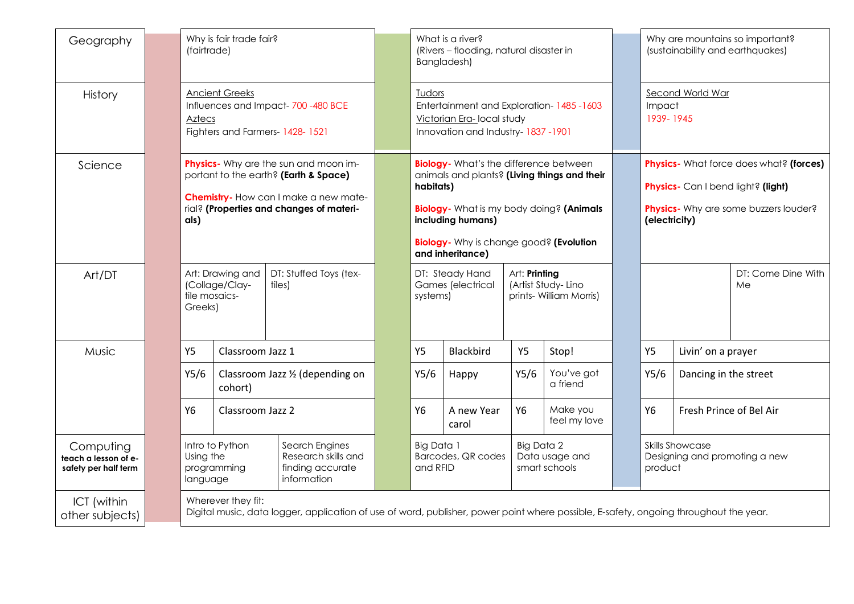| Geography                                                 | Why is fair trade fair?<br>(fairtrade)                                                                                                                                             |                                                                                                                                     |                                  |  |                                                  | What is a river?<br>(Rivers - flooding, natural disaster in<br>Bangladesh)                                                                                                                                                                        |           |                                                                |      | Why are mountains so important?<br>(sustainability and earthquakes)                                                                     |                                                                    |                          |
|-----------------------------------------------------------|------------------------------------------------------------------------------------------------------------------------------------------------------------------------------------|-------------------------------------------------------------------------------------------------------------------------------------|----------------------------------|--|--------------------------------------------------|---------------------------------------------------------------------------------------------------------------------------------------------------------------------------------------------------------------------------------------------------|-----------|----------------------------------------------------------------|------|-----------------------------------------------------------------------------------------------------------------------------------------|--------------------------------------------------------------------|--------------------------|
| History                                                   | <b>Ancient Greeks</b><br>Influences and Impact-700-480 BCE<br>Aztecs<br>Fighters and Farmers- 1428-1521                                                                            |                                                                                                                                     |                                  |  |                                                  | Tudors<br>Entertainment and Exploration-1485-1603<br>Victorian Era-local study<br>Innovation and Industry-1837-1901                                                                                                                               |           |                                                                |      | Second World War<br>Impact<br>1939-1945                                                                                                 |                                                                    |                          |
| Science                                                   | <b>Physics</b> - Why are the sun and moon im-<br>portant to the earth? (Earth & Space)<br>Chemistry-How can I make a new mate-<br>rial? (Properties and changes of materi-<br>als) |                                                                                                                                     |                                  |  |                                                  | <b>Biology-</b> What's the difference between<br>animals and plants? (Living things and their<br>habitats)<br>Biology- What is my body doing? (Animals<br>including humans)<br><b>Biology-</b> Why is change good? (Evolution<br>and inheritance) |           |                                                                |      | Physics- What force does what? (forces)<br>Physics- Can I bend light? (light)<br>Physics- Why are some buzzers louder?<br>(electricity) |                                                                    |                          |
| Art/DT                                                    | Greeks)                                                                                                                                                                            | Art: Drawing and<br>(Collage/Clay-<br>tile mosaics-                                                                                 | DT: Stuffed Toys (tex-<br>tiles) |  | DT: Steady Hand<br>Games (electrical<br>systems) |                                                                                                                                                                                                                                                   |           | Art: Printing<br>(Artist Study-Lino<br>prints- William Morris) |      |                                                                                                                                         |                                                                    | DT: Come Dine With<br>Me |
| Music                                                     | Y5                                                                                                                                                                                 | Classroom Jazz 1                                                                                                                    |                                  |  | <b>Blackbird</b><br><b>Y5</b><br>Y5/6<br>Happy   |                                                                                                                                                                                                                                                   | <b>Y5</b> | Stop!                                                          |      | Y5                                                                                                                                      | Livin' on a prayer                                                 |                          |
|                                                           | Y5/6                                                                                                                                                                               | Classroom Jazz 1/2 (depending on<br>cohort)                                                                                         |                                  |  |                                                  |                                                                                                                                                                                                                                                   | Y5/6      | You've got<br>a friend                                         | Y5/6 |                                                                                                                                         | Dancing in the street                                              |                          |
|                                                           | <b>Y6</b>                                                                                                                                                                          | Classroom Jazz 2                                                                                                                    |                                  |  | <b>Y6</b>                                        | A new Year<br>carol                                                                                                                                                                                                                               | Y6        | Make you<br>feel my love                                       |      | <b>Y6</b>                                                                                                                               |                                                                    | Fresh Prince of Bel Air  |
| Computing<br>teach a lesson of e-<br>safety per half term |                                                                                                                                                                                    | Intro to Python<br>Search Engines<br>Using the<br>Research skills and<br>finding accurate<br>programming<br>information<br>language |                                  |  |                                                  | Big Data 1<br>Barcodes, QR codes<br>and RFID                                                                                                                                                                                                      |           | Big Data 2<br>Data usage and<br>smart schools                  |      |                                                                                                                                         | <b>Skills Showcase</b><br>Designing and promoting a new<br>product |                          |
| ICT (within<br>other subjects)                            | Wherever they fit:<br>Digital music, data logger, application of use of word, publisher, power point where possible, E-safety, ongoing throughout the year.                        |                                                                                                                                     |                                  |  |                                                  |                                                                                                                                                                                                                                                   |           |                                                                |      |                                                                                                                                         |                                                                    |                          |